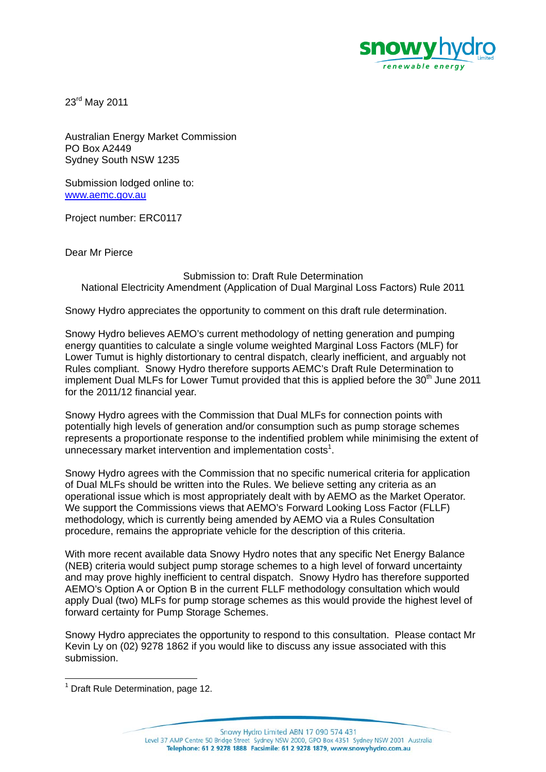

23rd May 2011

Australian Energy Market Commission PO Box A2449 Sydney South NSW 1235

Submission lodged online to: www.aemc.gov.au

Project number: ERC0117

Dear Mr Pierce

## Submission to: Draft Rule Determination National Electricity Amendment (Application of Dual Marginal Loss Factors) Rule 2011

Snowy Hydro appreciates the opportunity to comment on this draft rule determination.

Snowy Hydro believes AEMO's current methodology of netting generation and pumping energy quantities to calculate a single volume weighted Marginal Loss Factors (MLF) for Lower Tumut is highly distortionary to central dispatch, clearly inefficient, and arguably not Rules compliant. Snowy Hydro therefore supports AEMC's Draft Rule Determination to implement Dual MLFs for Lower Tumut provided that this is applied before the 30<sup>th</sup> June 2011 for the 2011/12 financial year.

Snowy Hydro agrees with the Commission that Dual MLFs for connection points with potentially high levels of generation and/or consumption such as pump storage schemes represents a proportionate response to the indentified problem while minimising the extent of unnecessary market intervention and implementation costs<sup>1</sup>.

Snowy Hydro agrees with the Commission that no specific numerical criteria for application of Dual MLFs should be written into the Rules. We believe setting any criteria as an operational issue which is most appropriately dealt with by AEMO as the Market Operator. We support the Commissions views that AEMO's Forward Looking Loss Factor (FLLF) methodology, which is currently being amended by AEMO via a Rules Consultation procedure, remains the appropriate vehicle for the description of this criteria.

With more recent available data Snowy Hydro notes that any specific Net Energy Balance (NEB) criteria would subject pump storage schemes to a high level of forward uncertainty and may prove highly inefficient to central dispatch. Snowy Hydro has therefore supported AEMO's Option A or Option B in the current FLLF methodology consultation which would apply Dual (two) MLFs for pump storage schemes as this would provide the highest level of forward certainty for Pump Storage Schemes.

Snowy Hydro appreciates the opportunity to respond to this consultation. Please contact Mr Kevin Ly on (02) 9278 1862 if you would like to discuss any issue associated with this submission.

l

<sup>&</sup>lt;sup>1</sup> Draft Rule Determination, page 12.